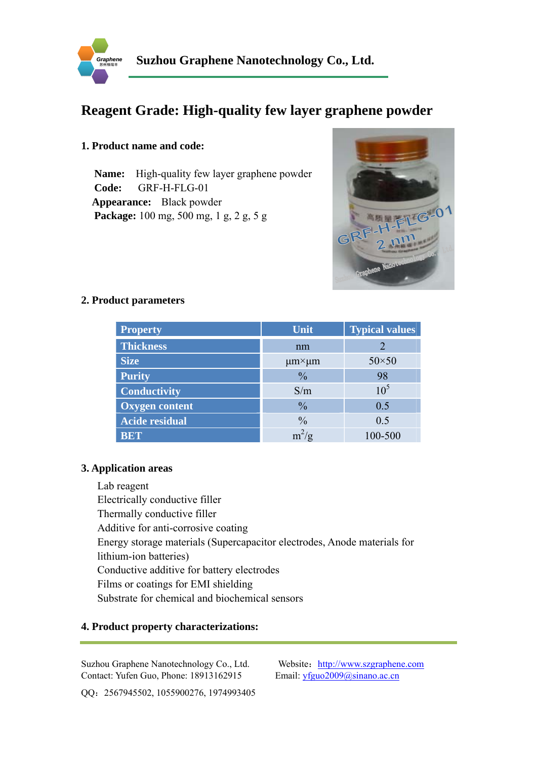

# **Reagent Grade: High-quality few layer graphene powder**

## **1. Product name and code:**

**Name:** High-quality few layer graphene powder **Code:** GRF-H-FLG-01 **Appearance:** Black powder **Package:** 100 mg, 500 mg, 1 g, 2 g, 5 g



### **2. Product parameters**

| <b>Property</b>       | Unit                     | <b>Typical values</b> |
|-----------------------|--------------------------|-----------------------|
| <b>Thickness</b>      | nm                       |                       |
| <b>Size</b>           | $\mu$ m $\times$ $\mu$ m | $50\times50$          |
| <b>Purity</b>         | $\frac{0}{0}$            | 98                    |
| <b>Conductivity</b>   | S/m                      | 10 <sup>5</sup>       |
| Oxygen content        | $\frac{0}{0}$            | 0.5                   |
| <b>Acide residual</b> | $\frac{0}{0}$            | 0.5                   |
| <b>BET</b>            | $m^2/g$                  | 100-500               |

#### **3. Application areas**

Lab reagent Electrically conductive filler Thermally conductive filler Additive for anti-corrosive coating Energy storage materials (Supercapacitor electrodes, Anode materials for lithium-ion batteries) Conductive additive for battery electrodes Films or coatings for EMI shielding Substrate for chemical and biochemical sensors

### **4. Product property characterizations:**

Suzhou Graphene Nanotechnology Co., Ltd. Website: http://www.szgraphene.com Contact: Yufen Guo, Phone: 18913162915 Email: yfguo2009@sinano.ac.cn

QQ:2567945502, 1055900276, 1974993405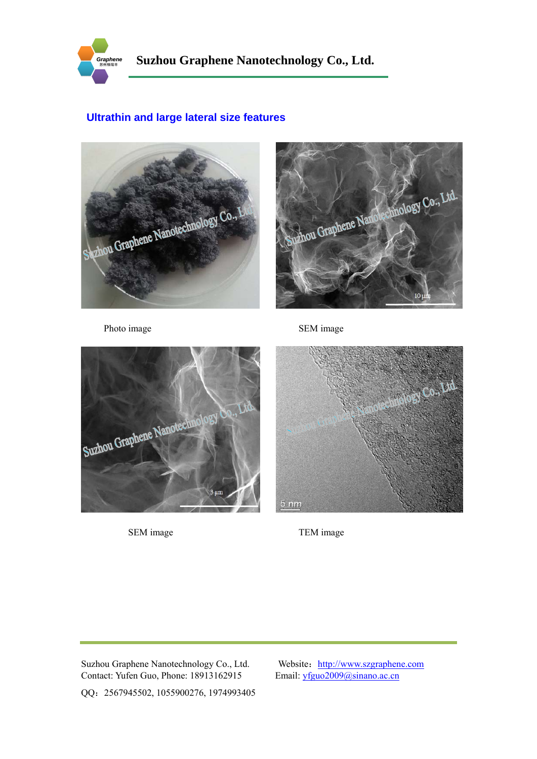

# **Ultrathin and large lateral size features**





Photo image SEM image





SEM image TEM image

Suzhou Graphene Nanotechnology Co., Ltd. Website: http://www.szgraphene.com<br>Contact: Yufen Guo, Phone: 18913162915 Email: yfguo2009@sinano.ac.cn Contact: Yufen Guo, Phone: 18913162915

QQ:2567945502, 1055900276, 1974993405